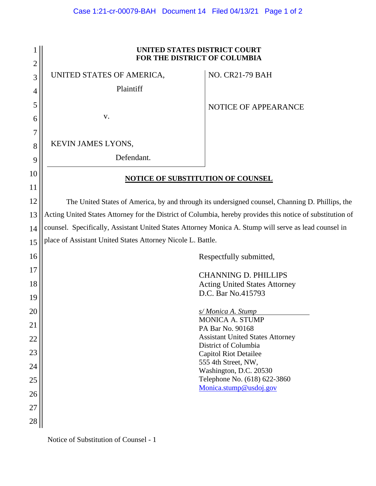|                     | UNITED STATES DISTRICT COURT<br>FOR THE DISTRICT OF COLUMBIA                                               |                                                        |
|---------------------|------------------------------------------------------------------------------------------------------------|--------------------------------------------------------|
| $\overline{2}$<br>3 | UNITED STATES OF AMERICA,                                                                                  | <b>NO. CR21-79 BAH</b>                                 |
|                     | Plaintiff                                                                                                  |                                                        |
| 4                   |                                                                                                            |                                                        |
| 5                   |                                                                                                            | NOTICE OF APPEARANCE                                   |
| 6                   | V.                                                                                                         |                                                        |
| 7                   |                                                                                                            |                                                        |
| 8                   | KEVIN JAMES LYONS,                                                                                         |                                                        |
| 9                   | Defendant.                                                                                                 |                                                        |
| 10                  |                                                                                                            |                                                        |
| 11                  | <b>NOTICE OF SUBSTITUTION OF COUNSEL</b>                                                                   |                                                        |
|                     |                                                                                                            |                                                        |
| 12                  | The United States of America, by and through its undersigned counsel, Channing D. Phillips, the            |                                                        |
| 13                  | Acting United States Attorney for the District of Columbia, hereby provides this notice of substitution of |                                                        |
| 14                  | counsel. Specifically, Assistant United States Attorney Monica A. Stump will serve as lead counsel in      |                                                        |
| 15                  | place of Assistant United States Attorney Nicole L. Battle.                                                |                                                        |
| 16                  | Respectfully submitted,                                                                                    |                                                        |
| 17                  |                                                                                                            | <b>CHANNING D. PHILLIPS</b>                            |
| 18                  |                                                                                                            | <b>Acting United States Attorney</b>                   |
| 19                  |                                                                                                            | D.C. Bar No.415793                                     |
|                     |                                                                                                            |                                                        |
| 20                  |                                                                                                            | s/Monica A. Stump<br><b>MONICA A. STUMP</b>            |
| 21                  |                                                                                                            | PA Bar No. 90168                                       |
| 22                  |                                                                                                            | <b>Assistant United States Attorney</b>                |
| 23                  |                                                                                                            | District of Columbia<br><b>Capitol Riot Detailee</b>   |
| 24                  |                                                                                                            | 555 4th Street, NW,                                    |
|                     |                                                                                                            | Washington, D.C. 20530                                 |
| 25                  |                                                                                                            | Telephone No. (618) 622-3860<br>Monica.stump@usdoj.gov |
| 26                  |                                                                                                            |                                                        |
| 27                  |                                                                                                            |                                                        |
| 28                  |                                                                                                            |                                                        |